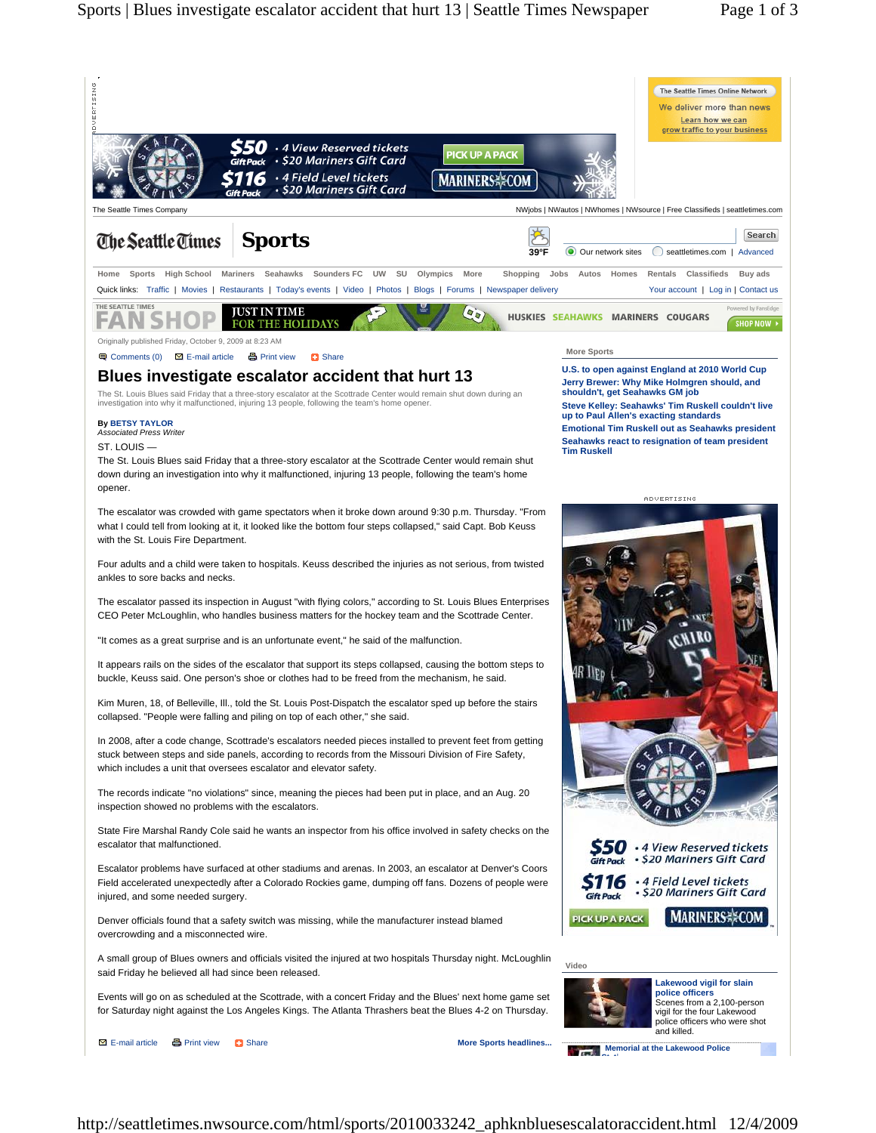